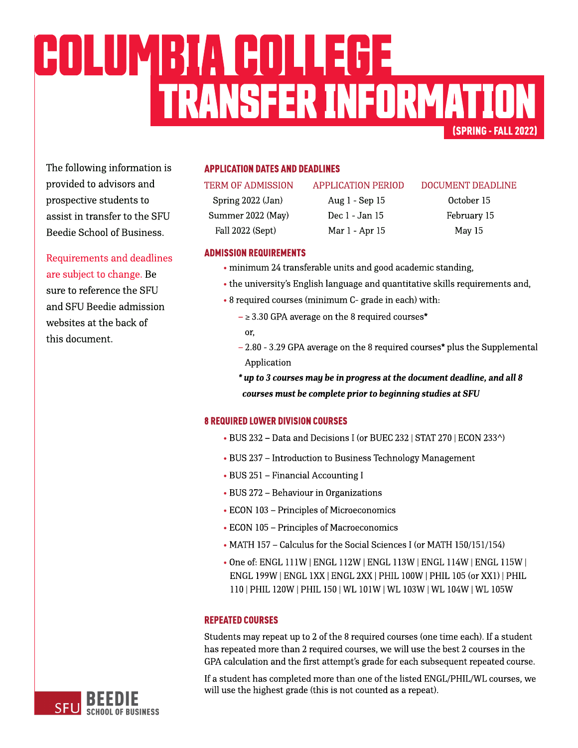# (SPRING-FALL2022) TRANSFERINFORMATION COLUMBIACOLLEGE

The following information is provided to advisors and prospective students to assist in transfer to the SFU Beedie School of Business.

Requirements and deadlines are subject to change. Be sure to reference the SFU and SFU Beedie admission websites at the back of this document.

# **APPLICATION DATES AND DEADLINES**

Summer 2022 (May) Dec 1 - Jan 15 February 15 Fall 2022 (Sept) Mar 1 - Apr 15 May 15

Spring 2022 (Jan) Aug 1 - Sep 15 October 15

### TERM OF ADMISSION APPLICATION PERIOD DOCUMENT DEADLINE

### **ADMISSION REQUIREMENTS**

- minimum 24 transferable units and good academic standing,
- the university's [English](https://www.sfu.ca/students/admission/admission-requirements/english-language-requirement.html) [language](https://www.sfu.ca/students/admission/admission-requirements/english-language-requirement.html) and quantitative skills requirements and,
- 8 required courses (minimum C- grade in each) with:
	- $\geq$  3.30 GPA average on the 8 required courses\* or,
	- $2.80 3.29$  GPA average on the 8 required courses\* plus the Supplemental Application
	- **\* upto3coursesmay bein progressat thedocument deadline,andall8** *courses must be complete prior to beginning studies at SFU*

# **8 REQUIRED LOWER DIVISION COURSES**

- BUS 232 Data and Decisions I (or BUEC 232 | STAT 270 | ECON 233^)
- BUS 237 Introduction to Business Technology Management
- BUS 251 Financial Accounting I
- BUS 272 Behaviour in Organizations
- ECON 103 Principles of Microeconomics
- ECON 105 Principles of Macroeconomics
- MATH 157 Calculus for the Social Sciences I (or MATH 150/151/154)
- Oneof: ENGL 111W |ENGL 112W | ENGL 113W | ENGL 114W | ENGL 115W | ENGL 199W |ENGL 1XX|ENGL 2XX| PHIL 100W |PHIL 105(or XX1) |PHIL 110| PHIL 120W |PHIL 150| WL 101W | WL 103W | WL 104W | WL105W

# **REPEATED COURSES**

Students may repeat up to 2 of the 8 required courses (one time each). If a student has repeated more than 2 required courses, we will use the best 2 courses in the GPA calculation and the first attempt's grade for each subsequent repeated course.

If a student has completed more than one of the listed ENGL/PHIL/WL courses, we will use the highest grade (this is not counted as a repeat).